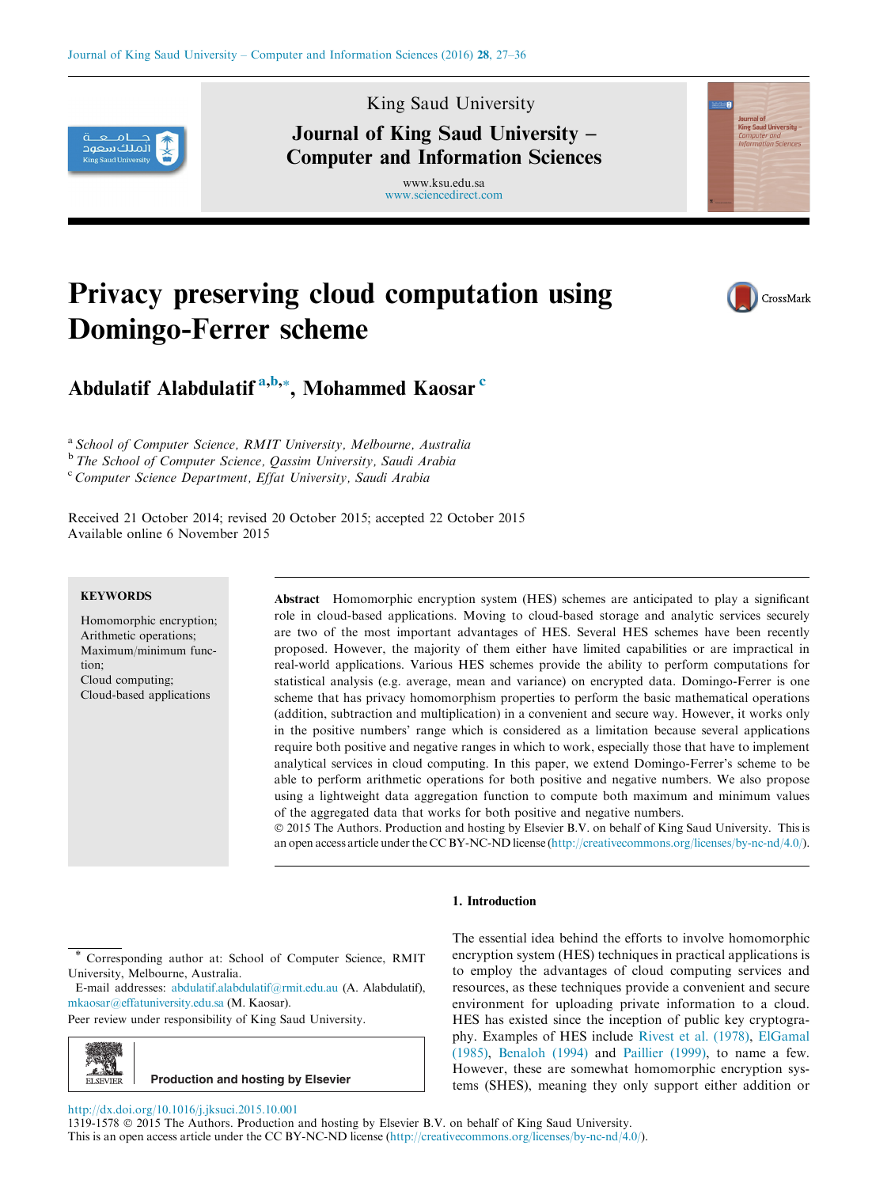

King Saud University Journal of King Saud University – Computer and Information Sciences

> www.ksu.edu.sa [www.sciencedirect.com](http://www.sciencedirect.com/science/journal/13191578)

# Privacy preserving cloud computation using Domingo-Ferrer scheme



Journal of<br>King Saud University<br>*Computer and* 

Abdulatif Alabdulatif <sup>a,b,</sup>\*, Mohammed Kaosar <sup>c</sup>

a School of Computer Science, RMIT University, Melbourne, Australia <sup>b</sup> The School of Computer Science, Qassim University, Saudi Arabia

<sup>c</sup> Computer Science Department, Effat University, Saudi Arabia

Received 21 October 2014; revised 20 October 2015; accepted 22 October 2015 Available online 6 November 2015

#### **KEYWORDS**

Homomorphic encryption; Arithmetic operations; Maximum/minimum function; Cloud computing; Cloud-based applications

Abstract Homomorphic encryption system (HES) schemes are anticipated to play a significant role in cloud-based applications. Moving to cloud-based storage and analytic services securely are two of the most important advantages of HES. Several HES schemes have been recently proposed. However, the majority of them either have limited capabilities or are impractical in real-world applications. Various HES schemes provide the ability to perform computations for statistical analysis (e.g. average, mean and variance) on encrypted data. Domingo-Ferrer is one scheme that has privacy homomorphism properties to perform the basic mathematical operations (addition, subtraction and multiplication) in a convenient and secure way. However, it works only in the positive numbers' range which is considered as a limitation because several applications require both positive and negative ranges in which to work, especially those that have to implement analytical services in cloud computing. In this paper, we extend Domingo-Ferrer's scheme to be able to perform arithmetic operations for both positive and negative numbers. We also propose using a lightweight data aggregation function to compute both maximum and minimum values of the aggregated data that works for both positive and negative numbers.

 2015 The Authors. Production and hosting by Elsevier B.V. on behalf of King Saud University. This is an open access article under the CC BY-NC-ND license ([http://creativecommons.org/licenses/by-nc-nd/4.0/\)](http://creativecommons.org/licenses/by-nc-nd/4.0/).

#### 1. Introduction

E-mail addresses: [abdulatif.alabdulatif@rmit.edu.au](mailto:abdulatif.alabdulatif@rmit.edu.au) (A. Alabdulatif), [mkaosar@effatuniversity.edu.sa](mailto:mkaosar@effatuniversity.edu.sa) (M. Kaosar).

Peer review under responsibility of King Saud University.



The essential idea behind the efforts to involve homomorphic encryption system (HES) techniques in practical applications is to employ the advantages of cloud computing services and resources, as these techniques provide a convenient and secure environment for uploading private information to a cloud. HES has existed since the inception of public key cryptography. Examples of HES include [Rivest et al. \(1978\)](#page-9-0), [ElGamal](#page-9-0) [\(1985\)](#page-9-0), [Benaloh \(1994\)](#page-9-0) and [Paillier \(1999\)](#page-9-0), to name a few. However, these are somewhat homomorphic encryption systems (SHES), meaning they only support either addition or

<http://dx.doi.org/10.1016/j.jksuci.2015.10.001>

1319-1578  $\circledcirc$  2015 The Authors. Production and hosting by Elsevier B.V. on behalf of King Saud University.

This is an open access article under the CC BY-NC-ND license ([http://creativecommons.org/licenses/by-nc-nd/4.0/\)](http://creativecommons.org/licenses/by-nc-nd/4.0/).

Corresponding author at: School of Computer Science, RMIT University, Melbourne, Australia.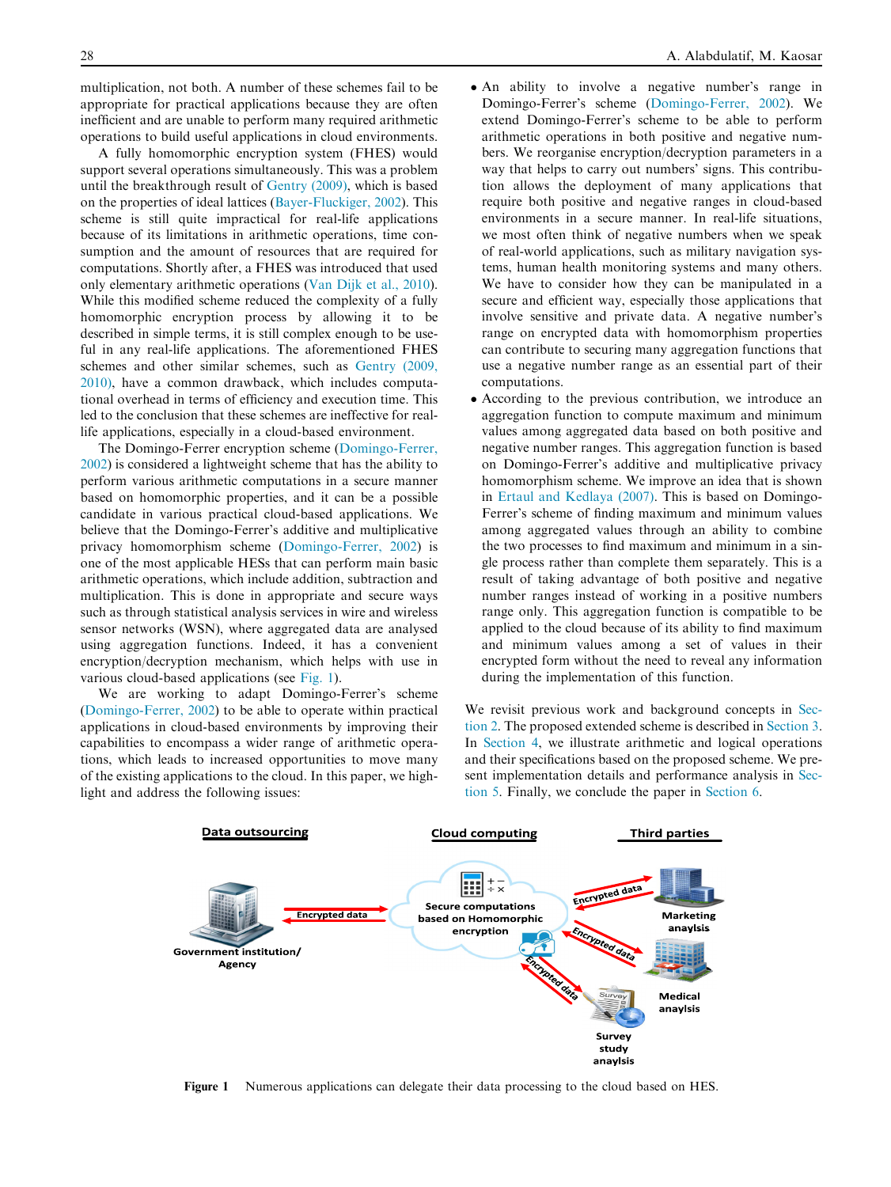multiplication, not both. A number of these schemes fail to be appropriate for practical applications because they are often inefficient and are unable to perform many required arithmetic operations to build useful applications in cloud environments.

A fully homomorphic encryption system (FHES) would support several operations simultaneously. This was a problem until the breakthrough result of [Gentry \(2009\)](#page-9-0), which is based on the properties of ideal lattices ([Bayer-Fluckiger, 2002](#page-9-0)). This scheme is still quite impractical for real-life applications because of its limitations in arithmetic operations, time consumption and the amount of resources that are required for computations. Shortly after, a FHES was introduced that used only elementary arithmetic operations [\(Van Dijk et al., 2010](#page-9-0)). While this modified scheme reduced the complexity of a fully homomorphic encryption process by allowing it to be described in simple terms, it is still complex enough to be useful in any real-life applications. The aforementioned FHES schemes and other similar schemes, such as [Gentry \(2009,](#page-9-0) [2010\),](#page-9-0) have a common drawback, which includes computational overhead in terms of efficiency and execution time. This led to the conclusion that these schemes are ineffective for reallife applications, especially in a cloud-based environment.

The Domingo-Ferrer encryption scheme ([Domingo-Ferrer,](#page-9-0) [2002\)](#page-9-0) is considered a lightweight scheme that has the ability to perform various arithmetic computations in a secure manner based on homomorphic properties, and it can be a possible candidate in various practical cloud-based applications. We believe that the Domingo-Ferrer's additive and multiplicative privacy homomorphism scheme [\(Domingo-Ferrer, 2002\)](#page-9-0) is one of the most applicable HESs that can perform main basic arithmetic operations, which include addition, subtraction and multiplication. This is done in appropriate and secure ways such as through statistical analysis services in wire and wireless sensor networks (WSN), where aggregated data are analysed using aggregation functions. Indeed, it has a convenient encryption/decryption mechanism, which helps with use in various cloud-based applications (see Fig. 1).

We are working to adapt Domingo-Ferrer's scheme ([Domingo-Ferrer, 2002\)](#page-9-0) to be able to operate within practical applications in cloud-based environments by improving their capabilities to encompass a wider range of arithmetic operations, which leads to increased opportunities to move many of the existing applications to the cloud. In this paper, we highlight and address the following issues:

- An ability to involve a negative number's range in Domingo-Ferrer's scheme ([Domingo-Ferrer, 2002](#page-9-0)). We extend Domingo-Ferrer's scheme to be able to perform arithmetic operations in both positive and negative numbers. We reorganise encryption/decryption parameters in a way that helps to carry out numbers' signs. This contribution allows the deployment of many applications that require both positive and negative ranges in cloud-based environments in a secure manner. In real-life situations, we most often think of negative numbers when we speak of real-world applications, such as military navigation systems, human health monitoring systems and many others. We have to consider how they can be manipulated in a secure and efficient way, especially those applications that involve sensitive and private data. A negative number's range on encrypted data with homomorphism properties can contribute to securing many aggregation functions that use a negative number range as an essential part of their computations.
- According to the previous contribution, we introduce an aggregation function to compute maximum and minimum values among aggregated data based on both positive and negative number ranges. This aggregation function is based on Domingo-Ferrer's additive and multiplicative privacy homomorphism scheme. We improve an idea that is shown in [Ertaul and Kedlaya \(2007\)](#page-9-0). This is based on Domingo-Ferrer's scheme of finding maximum and minimum values among aggregated values through an ability to combine the two processes to find maximum and minimum in a single process rather than complete them separately. This is a result of taking advantage of both positive and negative number ranges instead of working in a positive numbers range only. This aggregation function is compatible to be applied to the cloud because of its ability to find maximum and minimum values among a set of values in their encrypted form without the need to reveal any information during the implementation of this function.

We revisit previous work and background concepts in [Sec](#page-2-0)[tion 2.](#page-2-0) The proposed extended scheme is described in [Section 3.](#page-2-0) In [Section 4,](#page-4-0) we illustrate arithmetic and logical operations and their specifications based on the proposed scheme. We present implementation details and performance analysis in [Sec](#page-7-0)[tion 5.](#page-7-0) Finally, we conclude the paper in [Section 6.](#page-8-0)



Figure 1 Numerous applications can delegate their data processing to the cloud based on HES.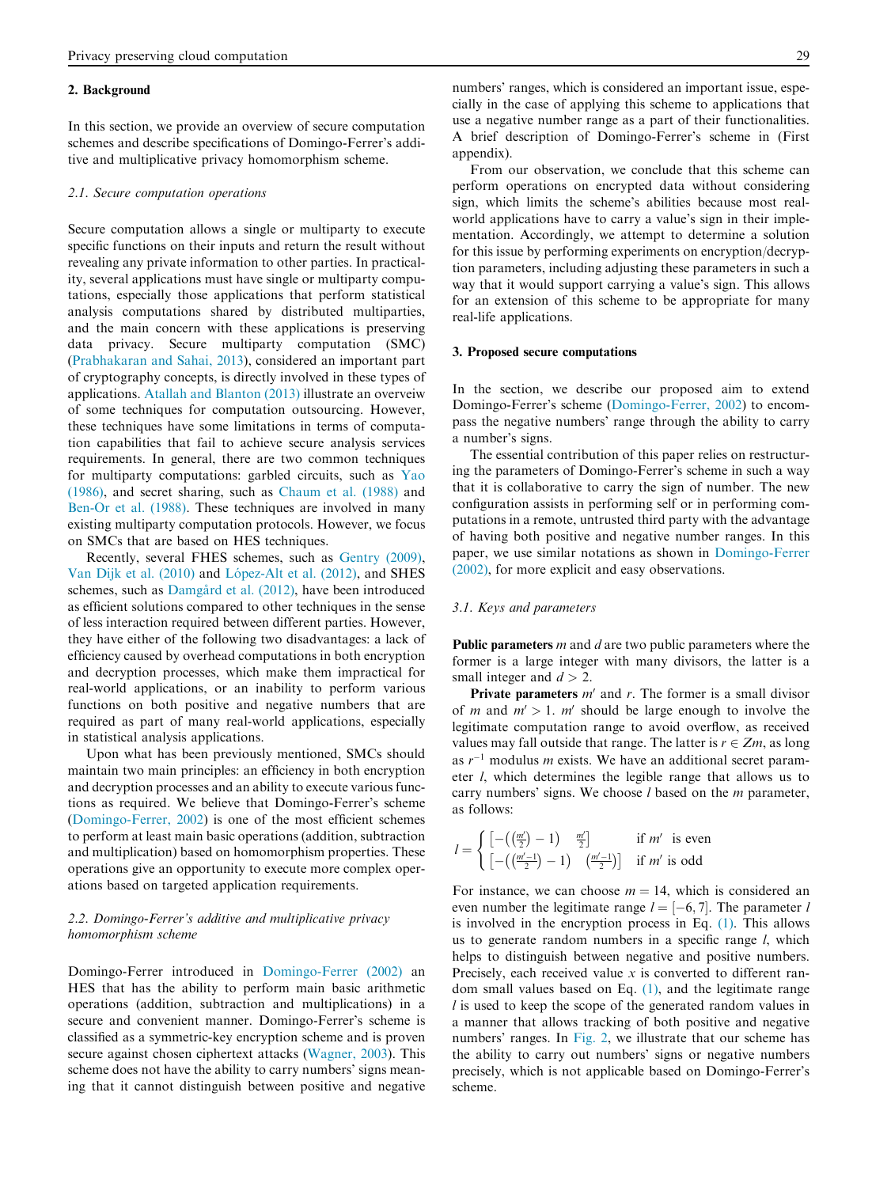#### <span id="page-2-0"></span>2. Background

In this section, we provide an overview of secure computation schemes and describe specifications of Domingo-Ferrer's additive and multiplicative privacy homomorphism scheme.

#### 2.1. Secure computation operations

Secure computation allows a single or multiparty to execute specific functions on their inputs and return the result without revealing any private information to other parties. In practicality, several applications must have single or multiparty computations, especially those applications that perform statistical analysis computations shared by distributed multiparties, and the main concern with these applications is preserving data privacy. Secure multiparty computation (SMC) [\(Prabhakaran and Sahai, 2013\)](#page-9-0), considered an important part of cryptography concepts, is directly involved in these types of applications. [Atallah and Blanton \(2013\)](#page-9-0) illustrate an overveiw of some techniques for computation outsourcing. However, these techniques have some limitations in terms of computation capabilities that fail to achieve secure analysis services requirements. In general, there are two common techniques for multiparty computations: garbled circuits, such as [Yao](#page-9-0) [\(1986\)](#page-9-0), and secret sharing, such as [Chaum et al. \(1988\)](#page-9-0) and [Ben-Or et al. \(1988\).](#page-9-0) These techniques are involved in many existing multiparty computation protocols. However, we focus on SMCs that are based on HES techniques.

Recently, several FHES schemes, such as [Gentry \(2009\)](#page-9-0), [Van Dijk et al. \(2010\)](#page-9-0) and López-Alt et al. (2012), and SHES schemes, such as Damgård et al. (2012), have been introduced as efficient solutions compared to other techniques in the sense of less interaction required between different parties. However, they have either of the following two disadvantages: a lack of efficiency caused by overhead computations in both encryption and decryption processes, which make them impractical for real-world applications, or an inability to perform various functions on both positive and negative numbers that are required as part of many real-world applications, especially in statistical analysis applications.

Upon what has been previously mentioned, SMCs should maintain two main principles: an efficiency in both encryption and decryption processes and an ability to execute various functions as required. We believe that Domingo-Ferrer's scheme [\(Domingo-Ferrer, 2002](#page-9-0)) is one of the most efficient schemes to perform at least main basic operations (addition, subtraction and multiplication) based on homomorphism properties. These operations give an opportunity to execute more complex operations based on targeted application requirements.

# 2.2. Domingo-Ferrer's additive and multiplicative privacy homomorphism scheme

Domingo-Ferrer introduced in [Domingo-Ferrer \(2002\)](#page-9-0) an HES that has the ability to perform main basic arithmetic operations (addition, subtraction and multiplications) in a secure and convenient manner. Domingo-Ferrer's scheme is classified as a symmetric-key encryption scheme and is proven secure against chosen ciphertext attacks ([Wagner, 2003](#page-9-0)). This scheme does not have the ability to carry numbers' signs meaning that it cannot distinguish between positive and negative numbers' ranges, which is considered an important issue, especially in the case of applying this scheme to applications that use a negative number range as a part of their functionalities. A brief description of Domingo-Ferrer's scheme in (First appendix).

From our observation, we conclude that this scheme can perform operations on encrypted data without considering sign, which limits the scheme's abilities because most realworld applications have to carry a value's sign in their implementation. Accordingly, we attempt to determine a solution for this issue by performing experiments on encryption/decryption parameters, including adjusting these parameters in such a way that it would support carrying a value's sign. This allows for an extension of this scheme to be appropriate for many real-life applications.

# 3. Proposed secure computations

In the section, we describe our proposed aim to extend Domingo-Ferrer's scheme ([Domingo-Ferrer, 2002](#page-9-0)) to encompass the negative numbers' range through the ability to carry a number's signs.

The essential contribution of this paper relies on restructuring the parameters of Domingo-Ferrer's scheme in such a way that it is collaborative to carry the sign of number. The new configuration assists in performing self or in performing computations in a remote, untrusted third party with the advantage of having both positive and negative number ranges. In this paper, we use similar notations as shown in [Domingo-Ferrer](#page-9-0) [\(2002\)](#page-9-0), for more explicit and easy observations.

#### 3.1. Keys and parameters

**Public parameters**  $m$  and  $d$  are two public parameters where the former is a large integer with many divisors, the latter is a small integer and  $d > 2$ .

Private parameters  $m'$  and r. The former is a small divisor of m and  $m' > 1$ . m' should be large enough to involve the legitimate computation range to avoid overflow, as received values may fall outside that range. The latter is  $r \in Zm$ , as long as  $r^{-1}$  modulus *m* exists. We have an additional secret parameter l, which determines the legible range that allows us to carry numbers' signs. We choose  $l$  based on the  $m$  parameter, as follows:

$$
l = \begin{cases} \left[ -\left(\frac{m'}{2}\right) - 1\right) & \frac{m'}{2} \\ \left[ -\left(\frac{m'-1}{2}\right) - 1\right) & \left(\frac{m'-1}{2}\right) \end{cases} \text{ if } m' \text{ is odd}
$$

For instance, we can choose  $m = 14$ , which is considered an even number the legitimate range  $l = [-6, 7]$ . The parameter l is involved in the encryption process in Eq. [\(1\).](#page-3-0) This allows us to generate random numbers in a specific range  $l$ , which helps to distinguish between negative and positive numbers. Precisely, each received value  $x$  is converted to different random small values based on Eq. [\(1\)](#page-3-0), and the legitimate range l is used to keep the scope of the generated random values in a manner that allows tracking of both positive and negative numbers' ranges. In [Fig. 2](#page-3-0), we illustrate that our scheme has the ability to carry out numbers' signs or negative numbers precisely, which is not applicable based on Domingo-Ferrer's scheme.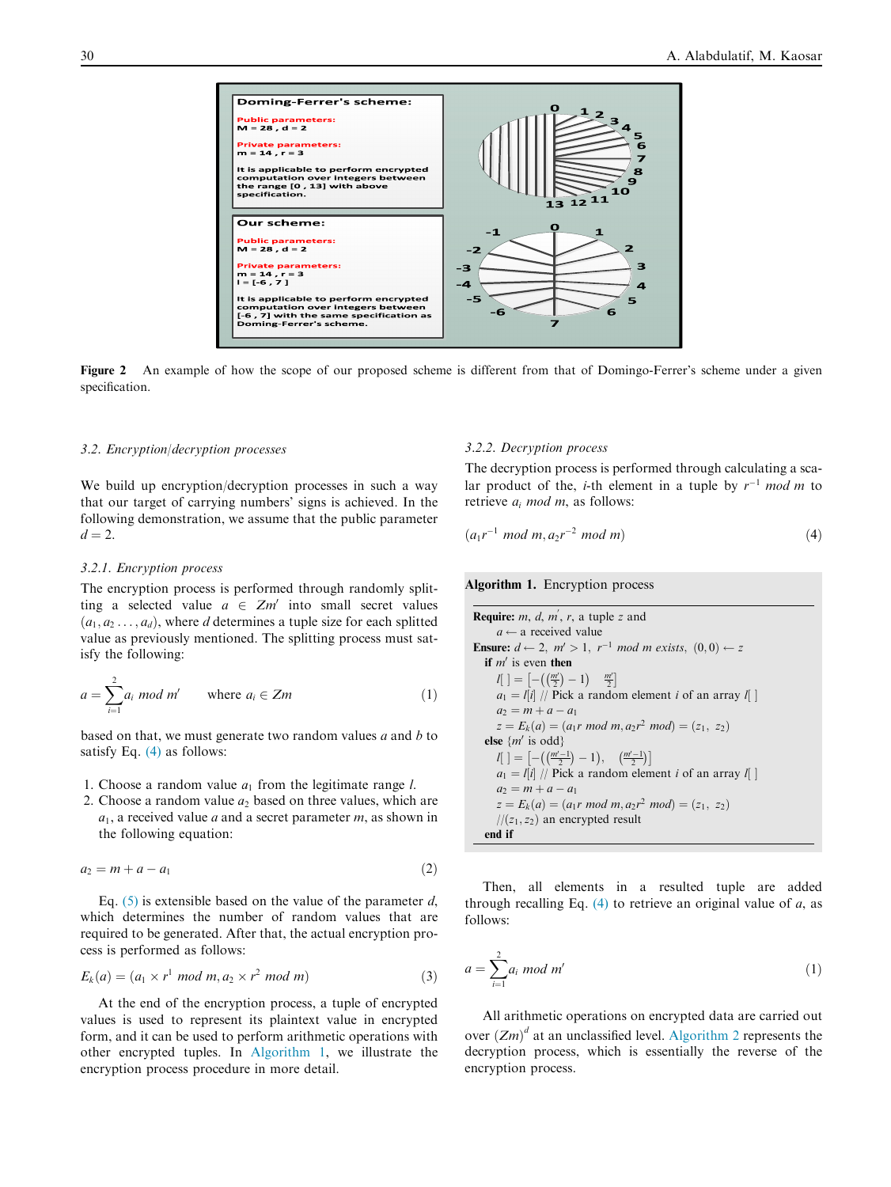<span id="page-3-0"></span>

Figure 2 An example of how the scope of our proposed scheme is different from that of Domingo-Ferrer's scheme under a given specification.

#### 3.2. Encryption/decryption processes

We build up encryption/decryption processes in such a way that our target of carrying numbers' signs is achieved. In the following demonstration, we assume that the public parameter  $d = 2$ .

#### 3.2.1. Encryption process

The encryption process is performed through randomly splitting a selected value  $a \in Zm'$  into small secret values  $(a_1, a_2, \ldots, a_d)$ , where d determines a tuple size for each splitted value as previously mentioned. The splitting process must satisfy the following:

$$
a = \sum_{i=1}^{2} a_i \mod m' \qquad \text{where } a_i \in \mathbb{Z}m \tag{1}
$$

based on that, we must generate two random values  $a$  and  $b$  to satisfy Eq. (4) as follows:

- 1. Choose a random value  $a_1$  from the legitimate range l.
- 2. Choose a random value  $a_2$  based on three values, which are  $a_1$ , a received value a and a secret parameter m, as shown in the following equation:

$$
a_2 = m + a - a_1 \tag{2}
$$

Eq.  $(5)$  is extensible based on the value of the parameter d, which determines the number of random values that are required to be generated. After that, the actual encryption process is performed as follows:

$$
E_k(a) = (a_1 \times r^1 \mod m, a_2 \times r^2 \mod m) \tag{3}
$$

At the end of the encryption process, a tuple of encrypted values is used to represent its plaintext value in encrypted form, and it can be used to perform arithmetic operations with other encrypted tuples. In Algorithm 1, we illustrate the encryption process procedure in more detail.

# 3.2.2. Decryption process

The decryption process is performed through calculating a scalar product of the, *i*-th element in a tuple by  $r^{-1}$  mod m to retrieve  $a_i$  mod m, as follows:

$$
(a_1r^{-1} \mod m, a_2r^{-2} \mod m) \tag{4}
$$

#### Algorithm 1. Encryption process

**Require:** m, d, m', r, a tuple z and  $a \leftarrow a$  received value **Ensure:**  $d \leftarrow 2$ ,  $m' > 1$ ,  $r^{-1} \mod m$  exists,  $(0, 0) \leftarrow z$ if  $m'$  is even then  $l[\ ] = \left[ -\left( \frac{m'}{2} \right) - 1 \right) \quad \frac{m'}{2} \right]$  $a_1 = l[i]$  // Pick a random element i of an array  $l[i]$  $a_2 = m + a - a_1$  $z = E_k(a) = (a_1r \mod m, a_2r^2 \mod m) = (z_1, z_2)$ else  ${m'$  is odd}  $l[ ] = [ -((\frac{m'-1}{2}) - 1), (\frac{m'-1}{2}) ]$  $a_1 = l[i]$  // Pick a random element i of an array  $l[i]$  $a_2 = m + a - a_1$  $z = E_k(a) = (a_1r \mod m, a_2r^2 \mod m) = (z_1, z_2)$  $1/(z_1, z_2)$  an encrypted result end if

Then, all elements in a resulted tuple are added through recalling Eq.  $(4)$  to retrieve an original value of a, as follows:

$$
a = \sum_{i=1}^{2} a_i \bmod m'
$$
 (1)

All arithmetic operations on encrypted data are carried out over  $(Zm)^d$  at an unclassified level. [Algorithm 2](#page-4-0) represents the decryption process, which is essentially the reverse of the encryption process.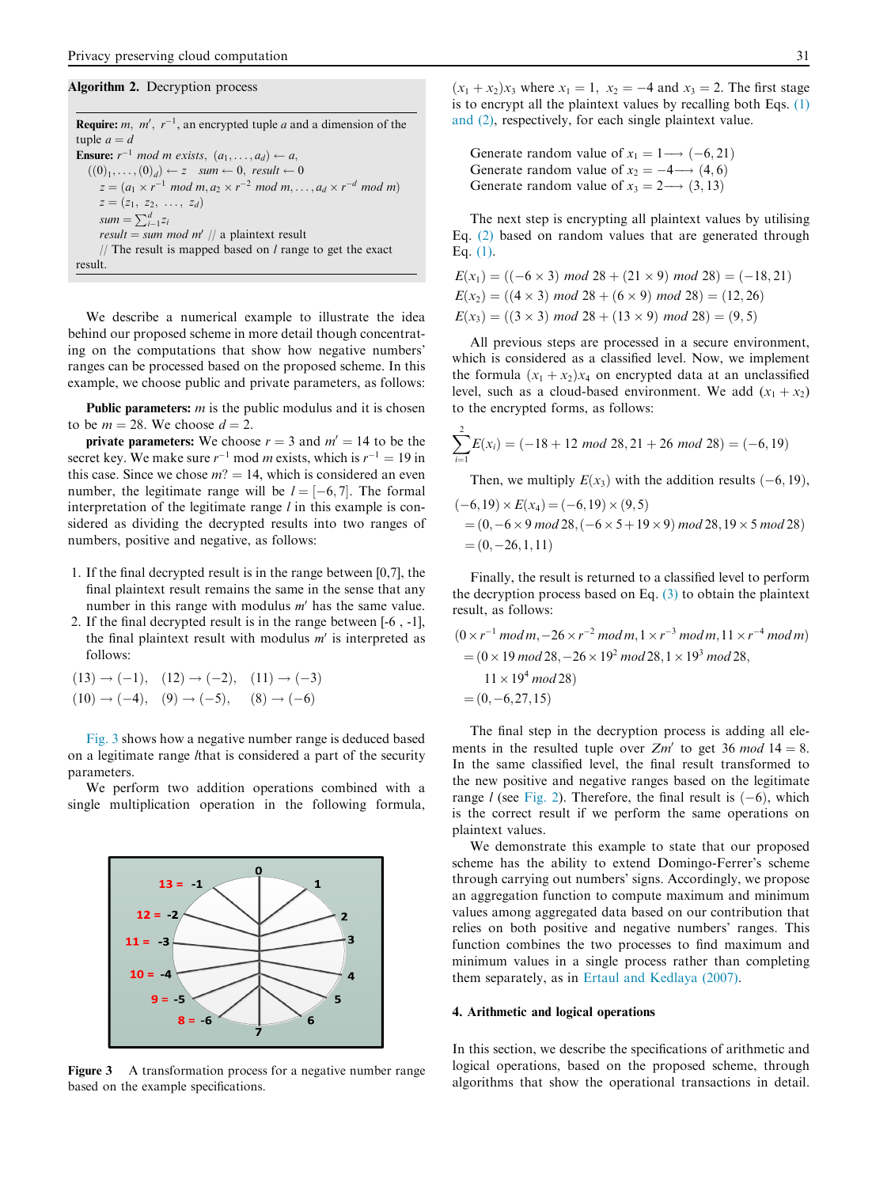#### <span id="page-4-0"></span>Algorithm 2. Decryption process

**Require:** m, m',  $r^{-1}$ , an encrypted tuple a and a dimension of the tuple  $a = d$ **Ensure:**  $r^{-1}$  mod m exists,  $(a_1, \ldots, a_d) \leftarrow a$ ,  $((0)_1, \ldots, (0)_d) \leftarrow z$  sum  $\leftarrow 0$ , result  $\leftarrow 0$  $z = (a_1 \times r^{-1} \mod m, a_2 \times r^{-2} \mod m, \ldots, a_d \times r^{-d} \mod m)$  $z = (z_1, z_2, \ldots, z_d)$  $sum = \sum_{i=1}^{d} z_i$ result = sum mod m' // a plaintext result  $\frac{1}{2}$  The result is mapped based on *l* range to get the exact result.

We describe a numerical example to illustrate the idea behind our proposed scheme in more detail though concentrating on the computations that show how negative numbers' ranges can be processed based on the proposed scheme. In this example, we choose public and private parameters, as follows:

**Public parameters:**  $m$  is the public modulus and it is chosen to be  $m = 28$ . We choose  $d = 2$ .

**private parameters:** We choose  $r = 3$  and  $m' = 14$  to be the secret key. We make sure  $r^{-1}$  mod *m* exists, which is  $r^{-1} = 19$  in this case. Since we chose  $m$ ? = 14, which is considered an even number, the legitimate range will be  $l = [-6, 7]$ . The formal interpretation of the legitimate range  $l$  in this example is considered as dividing the decrypted results into two ranges of numbers, positive and negative, as follows:

- 1. If the final decrypted result is in the range between [0,7], the final plaintext result remains the same in the sense that any number in this range with modulus  $m'$  has the same value.
- 2. If the final decrypted result is in the range between [-6 , -1], the final plaintext result with modulus  $m'$  is interpreted as follows:
- $(13) \rightarrow (-1), (12) \rightarrow (-2), (11) \rightarrow (-3)$  $(10) \rightarrow (-4), (9) \rightarrow (-5), (8) \rightarrow (-6)$

Fig. 3 shows how a negative number range is deduced based on a legitimate range lthat is considered a part of the security parameters.

We perform two addition operations combined with a single multiplication operation in the following formula,



based on the example specifications.

 $(x_1 + x_2)x_3$  where  $x_1 = 1$ ,  $x_2 = -4$  and  $x_3 = 2$ . The first stage is to encrypt all the plaintext values by recalling both Eqs.  $(1)$ [and \(2\)](#page-3-0), respectively, for each single plaintext value.

Generate random value of  $x_1 = 1 \rightarrow (-6, 21)$ Generate random value of  $x_2 = -4 \rightarrow (4, 6)$ Generate random value of  $x_3 = 2 \rightarrow (3, 13)$ 

The next step is encrypting all plaintext values by utilising Eq. [\(2\)](#page-3-0) based on random values that are generated through Eq.  $(1)$ .

$$
E(x_1) = ((-6 \times 3) \mod 28 + (21 \times 9) \mod 28) = (-18, 21)
$$
  
\n
$$
E(x_2) = ((4 \times 3) \mod 28 + (6 \times 9) \mod 28) = (12, 26)
$$
  
\n
$$
E(x_3) = ((3 \times 3) \mod 28 + (13 \times 9) \mod 28) = (9, 5)
$$

All previous steps are processed in a secure environment, which is considered as a classified level. Now, we implement the formula  $(x_1 + x_2)x_4$  on encrypted data at an unclassified level, such as a cloud-based environment. We add  $(x_1 + x_2)$ to the encrypted forms, as follows:

$$
\sum_{i=1}^{2} E(x_i) = (-18 + 12 \mod 28, 21 + 26 \mod 28) = (-6, 19)
$$

Then, we multiply  $E(x_3)$  with the addition results  $(-6, 19)$ ,

$$
(-6,19) \times E(x_4) = (-6,19) \times (9,5)
$$
  
= (0,-6×9 mod 28, (-6×5+19×9) mod 28,19×5 mod 28)  
= (0,-26,1,11)

Finally, the result is returned to a classified level to perform the decryption process based on Eq. [\(3\)](#page-3-0) to obtain the plaintext result, as follows:

$$
(0 \times r^{-1} \mod m, -26 \times r^{-2} \mod m, 1 \times r^{-3} \mod m, 11 \times r^{-4} \mod m)
$$
  
= (0 \times 19 \mod 28, -26 \times 19<sup>2</sup> \mod 28, 1 \times 19<sup>3</sup> \mod 28,  
11 \times 19<sup>4</sup> \mod 28)  
= (0, -6, 27, 15)

The final step in the decryption process is adding all elements in the resulted tuple over  $Zm'$  to get 36 mod 14 = 8. In the same classified level, the final result transformed to the new positive and negative ranges based on the legitimate range *l* (see [Fig. 2\)](#page-3-0). Therefore, the final result is  $(-6)$ , which is the correct result if we perform the same operations on plaintext values.

We demonstrate this example to state that our proposed scheme has the ability to extend Domingo-Ferrer's scheme through carrying out numbers' signs. Accordingly, we propose an aggregation function to compute maximum and minimum values among aggregated data based on our contribution that relies on both positive and negative numbers' ranges. This function combines the two processes to find maximum and minimum values in a single process rather than completing them separately, as in [Ertaul and Kedlaya \(2007\).](#page-9-0)

#### 4. Arithmetic and logical operations

In this section, we describe the specifications of arithmetic and logical operations, based on the proposed scheme, through Figure 3 A transformation process for a negative number range logical operations, based on the proposed scheme, through algorithms that show the operational transactions in detail.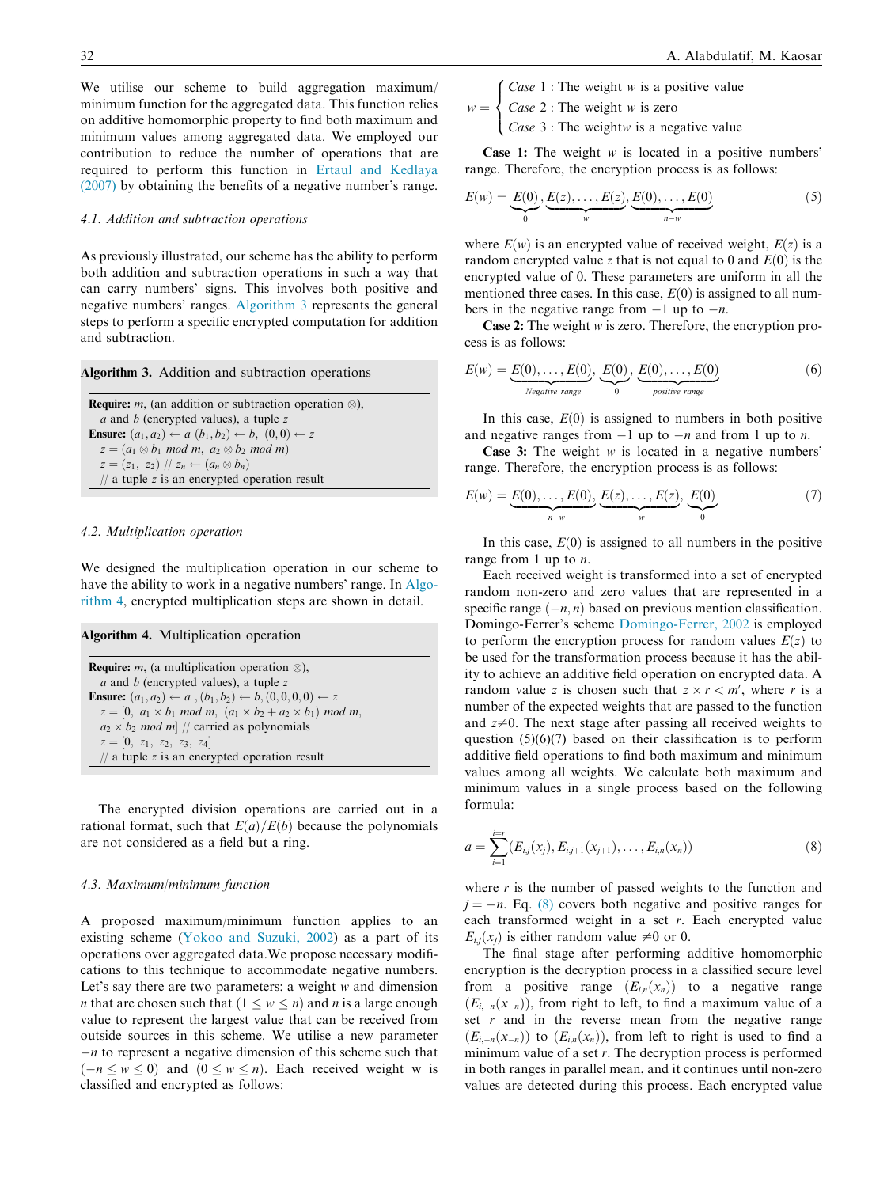<span id="page-5-0"></span>We utilise our scheme to build aggregation maximum/ minimum function for the aggregated data. This function relies on additive homomorphic property to find both maximum and minimum values among aggregated data. We employed our contribution to reduce the number of operations that are required to perform this function in [Ertaul and Kedlaya](#page-9-0) [\(2007\)](#page-9-0) by obtaining the benefits of a negative number's range.

#### 4.1. Addition and subtraction operations

As previously illustrated, our scheme has the ability to perform both addition and subtraction operations in such a way that can carry numbers' signs. This involves both positive and negative numbers' ranges. Algorithm 3 represents the general steps to perform a specific encrypted computation for addition and subtraction.

Algorithm 3. Addition and subtraction operations

**Require:** *m*, (an addition or subtraction operation  $\otimes$ ),  $a$  and  $b$  (encrypted values), a tuple  $z$ **Ensure:**  $(a_1, a_2) \leftarrow a (b_1, b_2) \leftarrow b$ ,  $(0, 0) \leftarrow z$  $z = (a_1 \otimes b_1 \mod m, a_2 \otimes b_2 \mod m)$  $z = (z_1, z_2)$  //  $z_n \leftarrow (a_n \otimes b_n)$  $\frac{1}{2}$  a tuple z is an encrypted operation result

#### 4.2. Multiplication operation

We designed the multiplication operation in our scheme to have the ability to work in a negative numbers' range. In Algorithm 4, encrypted multiplication steps are shown in detail.

# Algorithm 4. Multiplication operation **Require:** *m*, (a multiplication operation  $\otimes$ ),  $a$  and  $b$  (encrypted values), a tuple  $z$ **Ensure:**  $(a_1, a_2) \leftarrow a$ ,  $(b_1, b_2) \leftarrow b$ ,  $(0, 0, 0, 0) \leftarrow z$  $z = [0, a_1 \times b_1 \mod m, (a_1 \times b_2 + a_2 \times b_1) \mod m,$

 $a_2 \times b_2 \mod m$  // carried as polynomials

 $z = [0, z_1, z_2, z_3, z_4]$ 

 $//$  a tuple  $z$  is an encrypted operation result

The encrypted division operations are carried out in a rational format, such that  $E(a)/E(b)$  because the polynomials are not considered as a field but a ring.

# 4.3. Maximum/minimum function

A proposed maximum/minimum function applies to an existing scheme [\(Yokoo and Suzuki, 2002\)](#page-9-0) as a part of its operations over aggregated data.We propose necessary modifications to this technique to accommodate negative numbers. Let's say there are two parameters: a weight  $w$  and dimension *n* that are chosen such that  $(1 \le w \le n)$  and *n* is a large enough value to represent the largest value that can be received from outside sources in this scheme. We utilise a new parameter  $-n$  to represent a negative dimension of this scheme such that  $(-n \leq w \leq 0)$  and  $(0 \leq w \leq n)$ . Each received weight w is classified and encrypted as follows:

 $w = \begin{cases} Case 2 : The weight w is zero \end{cases}$  $\int$  *Case* 1 : The weight *w* is a positive value  $\left| \right|$ 

Case 3 : The weightw is a negative value  $\downarrow$ 

**Case 1:** The weight  $w$  is located in a positive numbers' range. Therefore, the encryption process is as follows:

$$
E(w) = \underbrace{E(0)}_{0}, \underbrace{E(z), \dots, E(z)}_{w}, \underbrace{E(0), \dots, E(0)}_{n-w}
$$
(5)

where  $E(w)$  is an encrypted value of received weight,  $E(z)$  is a random encrypted value z that is not equal to 0 and  $E(0)$  is the encrypted value of 0. These parameters are uniform in all the mentioned three cases. In this case,  $E(0)$  is assigned to all numbers in the negative range from  $-1$  up to  $-n$ .

Case 2: The weight w is zero. Therefore, the encryption process is as follows:

$$
E(w) = \underbrace{E(0), \dots, E(0)}_{Negative\ range}, \underbrace{E(0), \dots, E(0)}_{0} \underbrace{E(0), \dots, E(0)}_{positive\ range}
$$
(6)

In this case,  $E(0)$  is assigned to numbers in both positive and negative ranges from  $-1$  up to  $-n$  and from 1 up to n.

**Case 3:** The weight  $w$  is located in a negative numbers' range. Therefore, the encryption process is as follows:

$$
E(w) = \underbrace{E(0), \dots, E(0)}_{-n-w}, \underbrace{E(z), \dots, E(z)}_{w}, \underbrace{E(0)}_{0}
$$
(7)

In this case,  $E(0)$  is assigned to all numbers in the positive range from 1 up to n.

Each received weight is transformed into a set of encrypted random non-zero and zero values that are represented in a specific range  $(-n, n)$  based on previous mention classification. Domingo-Ferrer's scheme [Domingo-Ferrer, 2002](#page-9-0) is employed to perform the encryption process for random values  $E(z)$  to be used for the transformation process because it has the ability to achieve an additive field operation on encrypted data. A random value z is chosen such that  $z \times r \lt m'$ , where r is a number of the expected weights that are passed to the function and  $z\neq 0$ . The next stage after passing all received weights to question  $(5)(6)(7)$  based on their classification is to perform additive field operations to find both maximum and minimum values among all weights. We calculate both maximum and minimum values in a single process based on the following formula:

$$
a = \sum_{i=1}^{i=r} (E_{i,j}(x_j), E_{i,j+1}(x_{j+1}), \dots, E_{i,n}(x_n))
$$
\n(8)

where  $r$  is the number of passed weights to the function and  $j = -n$ . Eq. (8) covers both negative and positive ranges for each transformed weight in a set r. Each encrypted value  $E_{i,j}(x_i)$  is either random value  $\neq 0$  or 0.

The final stage after performing additive homomorphic encryption is the decryption process in a classified secure level from a positive range  $(E_{i,n}(x_n))$  to a negative range  $(E_{i,n}(x_{-n}))$ , from right to left, to find a maximum value of a set  $r$  and in the reverse mean from the negative range  $(E_{i,-n}(x_{-n}))$  to  $(E_{i,n}(x_n))$ , from left to right is used to find a minimum value of a set  $r$ . The decryption process is performed in both ranges in parallel mean, and it continues until non-zero values are detected during this process. Each encrypted value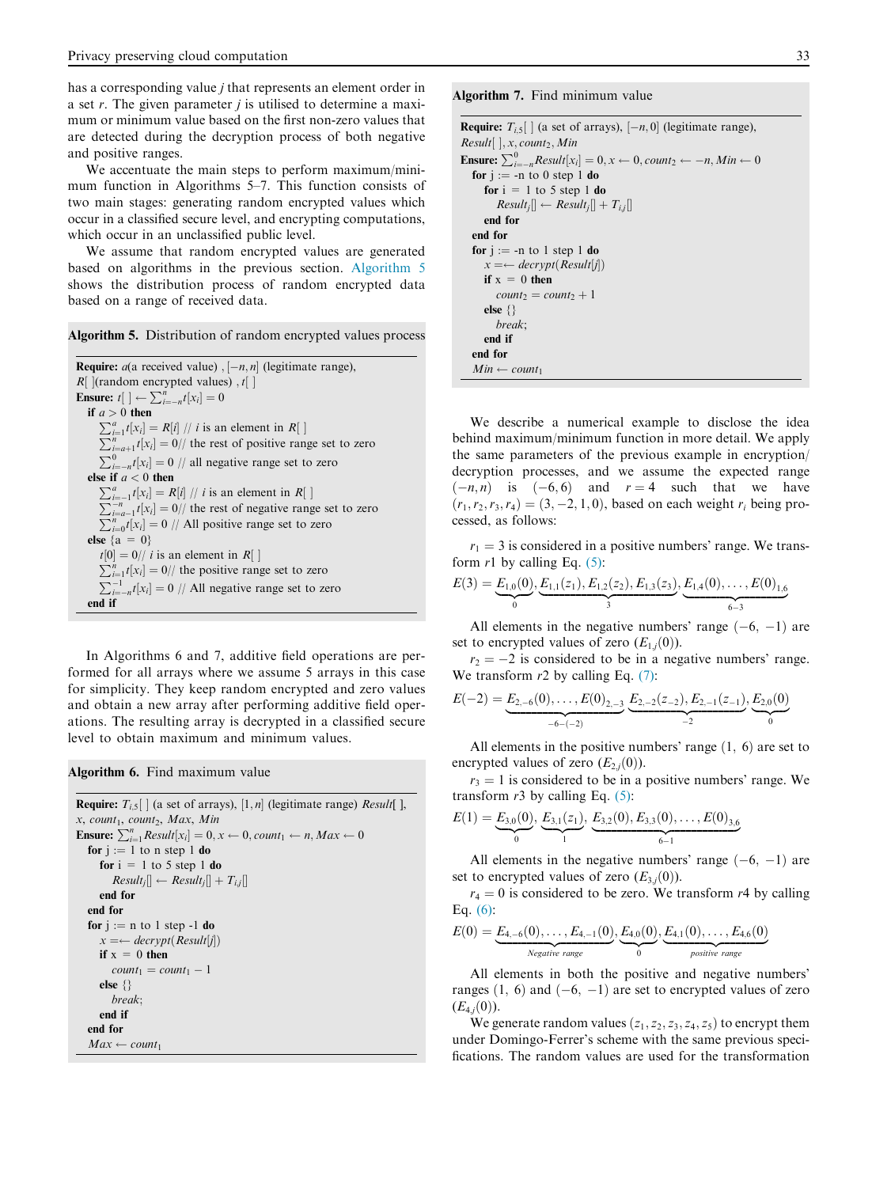has a corresponding value *i* that represents an element order in a set  $r$ . The given parameter  $j$  is utilised to determine a maximum or minimum value based on the first non-zero values that are detected during the decryption process of both negative and positive ranges.

We accentuate the main steps to perform maximum/minimum function in Algorithms 5–7. This function consists of two main stages: generating random encrypted values which occur in a classified secure level, and encrypting computations, which occur in an unclassified public level.

We assume that random encrypted values are generated based on algorithms in the previous section. Algorithm 5 shows the distribution process of random encrypted data based on a range of received data.

|  | Algorithm 5. Distribution of random encrypted values process |  |  |  |  |
|--|--------------------------------------------------------------|--|--|--|--|
|--|--------------------------------------------------------------|--|--|--|--|

**Require:**  $a$ (a received value),  $[-n, n]$  (legitimate range),  $R[$  (random encrypted values),  $t[$  | **Ensure:**  $t[ ] \leftarrow \sum_{i=-n}^{n} t[x_i] = 0$ if  $a > 0$  then  $\sum_{i=1}^{a} t[x_i] = R[i] \; // \; i \; \text{is an element in} \; R[ \; ]$  $\sum_{i=a+1}^{n} t[x_i] = 0/1$  the rest of positive range set to zero  $\sum_{i=-n}^{0} t[x_i] = 0$  // all negative range set to zero else if  $a < 0$  then  $\sum_{i=-1}^{a} t[x_i] = R[i] \; // \; i \; \text{is an element in} \; R[ \; ]$  $\sum_{i=a-1}^{-n} t[x_i] = 0//$  the rest of negative range set to zero  $\sum_{i=0}^{n} t[x_i] = 0$  // All positive range set to zero else  $\{a = 0\}$  $t[0] = 0// i$  is an element in R[]  $\sum_{i=1}^{n} t[x_i] = 0$ // the positive range set to zero  $\sum_{i=-n}^{-1} t[x_i] = 0$  // All negative range set to zero end if

In Algorithms 6 and 7, additive field operations are performed for all arrays where we assume 5 arrays in this case for simplicity. They keep random encrypted and zero values and obtain a new array after performing additive field operations. The resulting array is decrypted in a classified secure level to obtain maximum and minimum values.

# Algorithm 6. Find maximum value

```
Require: T_{i,5}[] (a set of arrays), [1, n] (legitimate range) Result[ ],
x, count_1, count_2, Max, Min
Ensure: \sum_{i=1}^{n} Result[x_i] = 0, x \leftarrow 0, count_1 \leftarrow n, Max \leftarrow 0for j := 1 to n step 1 do
     for i = 1 to 5 step 1 do
        Result_i \rVert \leftarrow Result_i \rVert + T_{i,j} \rVertend for
  end for
  for j := n to 1 step -1 do
     x = \leftarrow decrypt(Result[i])if x=0 then
        count_1 = count_1 - 1else {}
        break;
     end if
  end for
   Max \leftarrow count_1
```
Algorithm 7. Find minimum value

```
Require: T_{i,5} | (a set of arrays), [-n, 0] (legitimate range),
Result[ \ ], x, count_2, MinEnsure: \sum_{i=-n}^{0} Result[x_i] = 0, x \leftarrow 0, count_2 \leftarrow -n, Min \leftarrow 0for j := -n to 0 step 1 do
      for i = 1 to 5 step 1 do
         Result_i \rVert \leftarrow Result_i \rVert + T_{i,i} \rVertend for
   end for
   for j := -n to 1 step 1 do
      x = \leftarrow \text{decrvpt}(Result[i])if x=0 then
        count_2 = count_2 + 1else {}
        break;
      end if
   end for
   Min \leftarrow count_1
```
We describe a numerical example to disclose the idea behind maximum/minimum function in more detail. We apply the same parameters of the previous example in encryption/ decryption processes, and we assume the expected range  $(-n, n)$  is  $(-6, 6)$  and  $r = 4$  such that we have  $(r_1, r_2, r_3, r_4) = (3, -2, 1, 0)$ , based on each weight  $r_i$  being processed, as follows:

 $r_1 = 3$  is considered in a positive numbers' range. We transform  $r1$  by calling Eq. [\(5\)](#page-5-0):

$$
E(3) = \underbrace{E_{1,0}(0)}_{0}, \underbrace{E_{1,1}(z_1), E_{1,2}(z_2), E_{1,3}(z_3)}_{3}, \underbrace{E_{1,4}(0), \ldots, E(0)}_{6-3}
$$

All elements in the negative numbers' range  $(-6, -1)$  are set to encrypted values of zero  $(E_{1,i}(0))$ .

 $r_2 = -2$  is considered to be in a negative numbers' range. We transform  $r2$  by calling Eq. [\(7\)](#page-5-0):

$$
E(-2) = \underbrace{E_{2,-6}(0),\ldots,E(0)}_{-6-(-2)} \underbrace{E_{2,-2}(z_{-2}),E_{2,-1}(z_{-1})}_{-2}, \underbrace{E_{2,0}(0)}_{0}
$$

All elements in the positive numbers' range  $(1, 6)$  are set to encrypted values of zero  $(E_{2i}(0))$ .

 $r_3 = 1$  is considered to be in a positive numbers' range. We transform  $r3$  by calling Eq. [\(5\):](#page-5-0)

$$
E(1) = \underbrace{E_{3,0}(0)}_{0}, \underbrace{E_{3,1}(z_1)}_{1}, \underbrace{E_{3,2}(0), E_{3,3}(0), \ldots, E(0)_{3,6}}_{6-1}
$$

All elements in the negative numbers' range  $(-6, -1)$  are set to encrypted values of zero  $(E_{3,j}(0))$ .

 $r_4 = 0$  is considered to be zero. We transform r4 by calling Eq. [\(6\)](#page-5-0):

$$
E(0) = \underbrace{E_{4,-6}(0), \ldots, E_{4,-1}(0)}_{Negative\ range}, \underbrace{E_{4,0}(0), E_{4,1}(0), \ldots, E_{4,6}(0)}_{positive\ range}
$$

All elements in both the positive and negative numbers' ranges  $(1, 6)$  and  $(-6, -1)$  are set to encrypted values of zero  $(E_{4,j}(0)).$ 

We generate random values  $(z_1, z_2, z_3, z_4, z_5)$  to encrypt them under Domingo-Ferrer's scheme with the same previous specifications. The random values are used for the transformation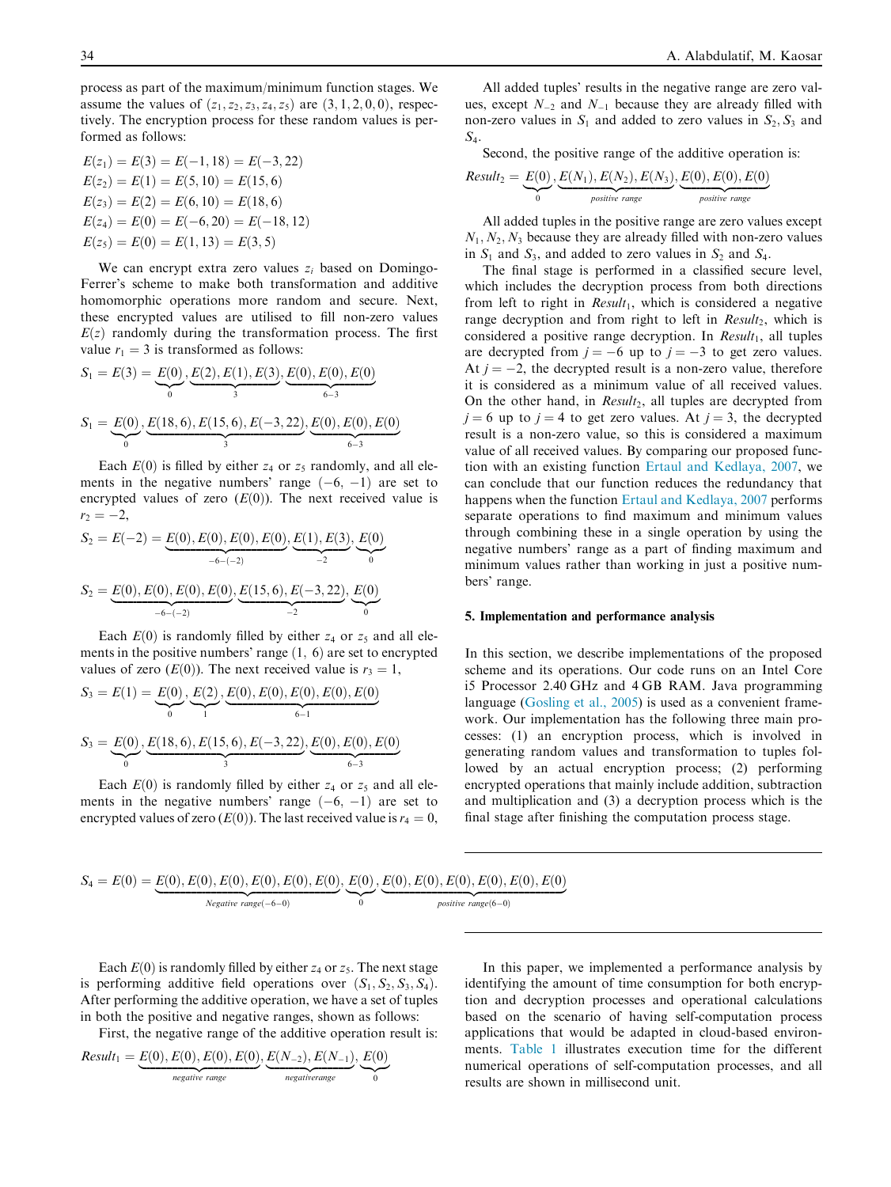<span id="page-7-0"></span>process as part of the maximum/minimum function stages. We assume the values of  $(z_1, z_2, z_3, z_4, z_5)$  are  $(3, 1, 2, 0, 0)$ , respectively. The encryption process for these random values is performed as follows:

$$
E(z_1) = E(3) = E(-1, 18) = E(-3, 22)
$$
  
\n
$$
E(z_2) = E(1) = E(5, 10) = E(15, 6)
$$
  
\n
$$
E(z_3) = E(2) = E(6, 10) = E(18, 6)
$$
  
\n
$$
E(z_4) = E(0) = E(-6, 20) = E(-18, 12)
$$
  
\n
$$
E(z_5) = E(0) = E(1, 13) = E(3, 5)
$$

We can encrypt extra zero values  $z_i$  based on Domingo-Ferrer's scheme to make both transformation and additive homomorphic operations more random and secure. Next, these encrypted values are utilised to fill non-zero values  $E(z)$  randomly during the transformation process. The first value  $r_1 = 3$  is transformed as follows:

$$
S_1 = E(3) = \underbrace{E(0)}_{0}, \underbrace{E(2), E(1), E(3)}_{3}, \underbrace{E(0), E(0), E(0)}_{6-3}
$$

$$
S_1 = \underbrace{E(0)}_{0}, \underbrace{E(18, 6), E(15, 6), E(-3, 22)}_{3}, \underbrace{E(0), E(0), E(0)}_{6-3}
$$

Each  $E(0)$  is filled by either  $z_4$  or  $z_5$  randomly, and all elements in the negative numbers' range  $(-6, -1)$  are set to encrypted values of zero  $(E(0))$ . The next received value is  $r_2 = -2$ ,

$$
S_2 = E(-2) = E(0), E(0), E(0), E(0), E(1), E(3), E(0)
$$
  

$$
S_2 = E(0), E(0), E(0), E(0), E(15, 6), E(-3, 22), E(0)
$$
  

$$
S_2 = E(0), E(0), E(0), E(0), E(15, 6), E(-3, 22), E(0)
$$

Each  $E(0)$  is randomly filled by either  $z_4$  or  $z_5$  and all elements in the positive numbers' range  $(1, 6)$  are set to encrypted values of zero ( $E(0)$ ). The next received value is  $r_3 = 1$ ,

$$
S_3 = E(1) = \underbrace{E(0)}_{0}, \underbrace{E(2)}_{1}, \underbrace{E(0), E(0), E(0), E(0), E(0)}_{6-1}
$$

$$
S_3 = \underbrace{E(0)}_{0}, \underbrace{E(18, 6), E(15, 6), E(-3, 22)}_{3}, \underbrace{E(0), E(0), E(0)}_{6-3}
$$

Each  $E(0)$  is randomly filled by either  $z_4$  or  $z_5$  and all elements in the negative numbers' range  $(-6, -1)$  are set to encrypted values of zero  $(E(0))$ . The last received value is  $r_4 = 0$ ,

All added tuples' results in the negative range are zero values, except  $N_{-2}$  and  $N_{-1}$  because they are already filled with non-zero values in  $S_1$  and added to zero values in  $S_2$ ,  $S_3$  and  $S_4$ .

Second, the positive range of the additive operation is:

$$
Result_2 = \underbrace{E(0)}_{0}, \underbrace{E(N_1), E(N_2), E(N_3)}_{positive\ range}, \underbrace{E(0), E(0), E(0)}_{positive\ range}
$$

All added tuples in the positive range are zero values except  $N_1, N_2, N_3$  because they are already filled with non-zero values in  $S_1$  and  $S_3$ , and added to zero values in  $S_2$  and  $S_4$ .

The final stage is performed in a classified secure level, which includes the decryption process from both directions from left to right in  $Result_1$ , which is considered a negative range decryption and from right to left in  $Result_2$ , which is considered a positive range decryption. In  $Result_1$ , all tuples are decrypted from  $j = -6$  up to  $j = -3$  to get zero values. At  $j = -2$ , the decrypted result is a non-zero value, therefore it is considered as a minimum value of all received values. On the other hand, in  $Result_2$ , all tuples are decrypted from  $j = 6$  up to  $j = 4$  to get zero values. At  $j = 3$ , the decrypted result is a non-zero value, so this is considered a maximum value of all received values. By comparing our proposed function with an existing function [Ertaul and Kedlaya, 2007,](#page-9-0) we can conclude that our function reduces the redundancy that happens when the function [Ertaul and Kedlaya, 2007](#page-9-0) performs separate operations to find maximum and minimum values through combining these in a single operation by using the negative numbers' range as a part of finding maximum and minimum values rather than working in just a positive numbers' range.

#### 5. Implementation and performance analysis

In this section, we describe implementations of the proposed scheme and its operations. Our code runs on an Intel Core i5 Processor 2.40 GHz and 4 GB RAM. Java programming language ([Gosling et al., 2005\)](#page-9-0) is used as a convenient framework. Our implementation has the following three main processes: (1) an encryption process, which is involved in generating random values and transformation to tuples followed by an actual encryption process; (2) performing encrypted operations that mainly include addition, subtraction and multiplication and (3) a decryption process which is the final stage after finishing the computation process stage.

$$
S_4 = E(0) = \underbrace{E(0), E(0), E(0), E(0), E(0), E(0)}_{Negative\ range(-6-0)}, \underbrace{E(0), E(0), E(0), E(0), E(0), E(0), E(0)}_{positive\ range(6-0)}
$$

Each  $E(0)$  is randomly filled by either  $z_4$  or  $z_5$ . The next stage is performing additive field operations over  $(S_1, S_2, S_3, S_4)$ . After performing the additive operation, we have a set of tuples in both the positive and negative ranges, shown as follows:

First, the negative range of the additive operation result is:

$$
Result_1 = \underbrace{E(0), E(0), E(0), E(0)}_{negative\ range} , \underbrace{E(N_{-2}), E(N_{-1})}_{negative\ range}, \underbrace{E(0)}_{0}
$$

In this paper, we implemented a performance analysis by identifying the amount of time consumption for both encryption and decryption processes and operational calculations based on the scenario of having self-computation process applications that would be adapted in cloud-based environments. [Table 1](#page-8-0) illustrates execution time for the different numerical operations of self-computation processes, and all results are shown in millisecond unit.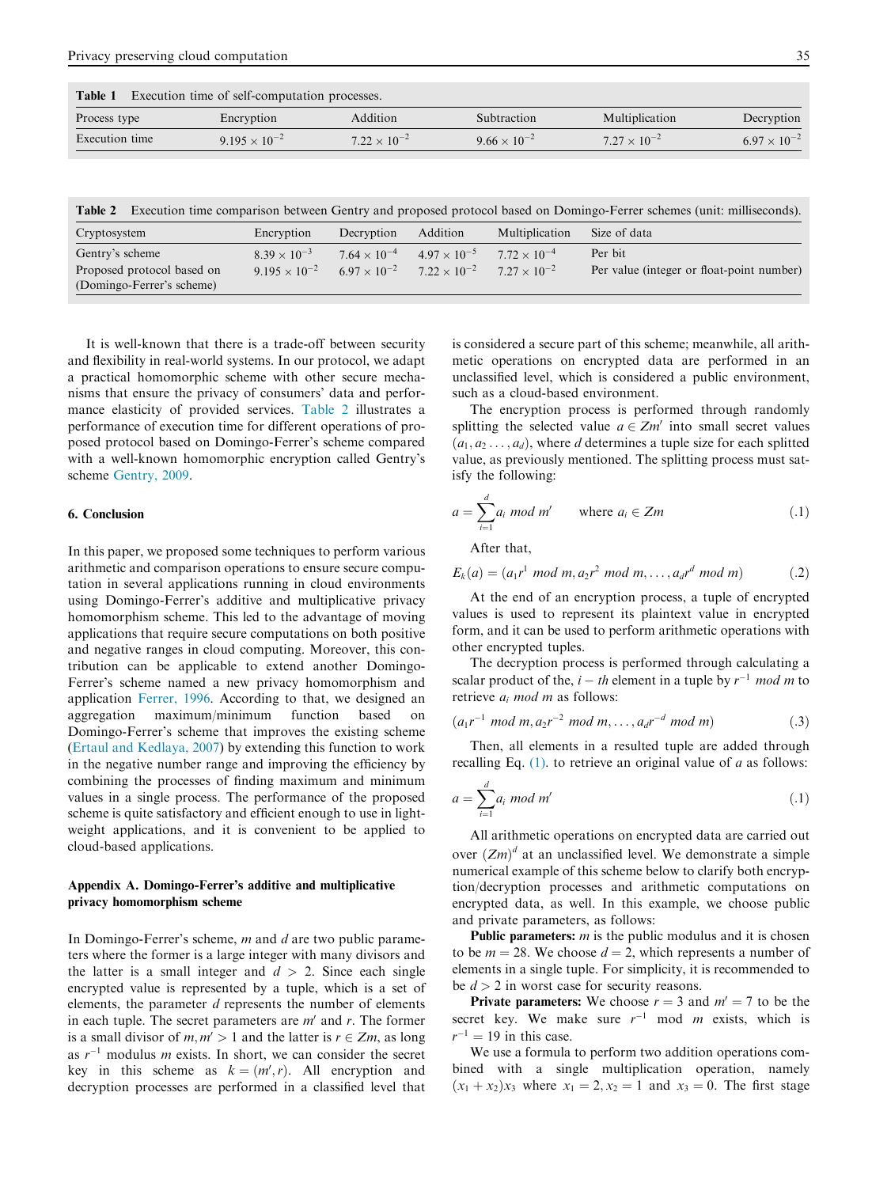<span id="page-8-0"></span>

| Table 1<br>Execution time of self-computation processes. |                        |                       |                       |                       |                       |  |  |  |
|----------------------------------------------------------|------------------------|-----------------------|-----------------------|-----------------------|-----------------------|--|--|--|
| Process type                                             | Encryption             | Addition              | Subtraction           | Multiplication        | Decryption            |  |  |  |
| Execution time                                           | $9.195 \times 10^{-2}$ | $7.22 \times 10^{-2}$ | $9.66 \times 10^{-2}$ | $7.27 \times 10^{-2}$ | $6.97 \times 10^{-2}$ |  |  |  |

Table 2 Execution time comparison between Gentry and proposed protocol based on Domingo-Ferrer schemes (unit: milliseconds).

| Cryptosystem                                                               | Encryption                                      | Decryption                                     | Addition                                       | Multiplication                                 | Size of data                                         |
|----------------------------------------------------------------------------|-------------------------------------------------|------------------------------------------------|------------------------------------------------|------------------------------------------------|------------------------------------------------------|
| Gentry's scheme<br>Proposed protocol based on<br>(Domingo-Ferrer's scheme) | $8.39 \times 10^{-3}$<br>$9.195 \times 10^{-2}$ | $7.64 \times 10^{-4}$<br>$6.97 \times 10^{-2}$ | $4.97 \times 10^{-5}$<br>$7.22 \times 10^{-2}$ | $7.72 \times 10^{-4}$<br>$7.27 \times 10^{-2}$ | Per bit<br>Per value (integer or float-point number) |

It is well-known that there is a trade-off between security and flexibility in real-world systems. In our protocol, we adapt a practical homomorphic scheme with other secure mechanisms that ensure the privacy of consumers' data and performance elasticity of provided services. Table 2 illustrates a performance of execution time for different operations of proposed protocol based on Domingo-Ferrer's scheme compared with a well-known homomorphic encryption called Gentry's scheme [Gentry, 2009](#page-9-0).

# 6. Conclusion

In this paper, we proposed some techniques to perform various arithmetic and comparison operations to ensure secure computation in several applications running in cloud environments using Domingo-Ferrer's additive and multiplicative privacy homomorphism scheme. This led to the advantage of moving applications that require secure computations on both positive and negative ranges in cloud computing. Moreover, this contribution can be applicable to extend another Domingo-Ferrer's scheme named a new privacy homomorphism and application [Ferrer, 1996](#page-9-0). According to that, we designed an aggregation maximum/minimum function based Domingo-Ferrer's scheme that improves the existing scheme [\(Ertaul and Kedlaya, 2007\)](#page-9-0) by extending this function to work in the negative number range and improving the efficiency by combining the processes of finding maximum and minimum values in a single process. The performance of the proposed scheme is quite satisfactory and efficient enough to use in lightweight applications, and it is convenient to be applied to cloud-based applications.

# Appendix A. Domingo-Ferrer's additive and multiplicative privacy homomorphism scheme

In Domingo-Ferrer's scheme, m and d are two public parameters where the former is a large integer with many divisors and the latter is a small integer and  $d > 2$ . Since each single encrypted value is represented by a tuple, which is a set of elements, the parameter  $d$  represents the number of elements in each tuple. The secret parameters are  $m'$  and r. The former is a small divisor of  $m, m' > 1$  and the latter is  $r \in Zm$ , as long as  $r^{-1}$  modulus *m* exists. In short, we can consider the secret key in this scheme as  $k = (m', r)$ . All encryption and decryption processes are performed in a classified level that is considered a secure part of this scheme; meanwhile, all arithmetic operations on encrypted data are performed in an unclassified level, which is considered a public environment, such as a cloud-based environment.

The encryption process is performed through randomly splitting the selected value  $a \in Zm'$  into small secret values  $(a_1, a_2, \ldots, a_d)$ , where d determines a tuple size for each splitted value, as previously mentioned. The splitting process must satisfy the following:

$$
a = \sum_{i=1}^{d} a_i \bmod m' \qquad \text{where } a_i \in \mathbb{Z}m \tag{1}
$$

After that,

$$
E_k(a) = (a_1 r^1 \mod m, a_2 r^2 \mod m, \dots, a_d r^d \mod m)
$$
 (.2)

At the end of an encryption process, a tuple of encrypted values is used to represent its plaintext value in encrypted form, and it can be used to perform arithmetic operations with other encrypted tuples.

The decryption process is performed through calculating a scalar product of the,  $i - th$  element in a tuple by  $r^{-1}$  mod m to retrieve  $a_i$  mod m as follows:

$$
(a_1r^{-1} \mod m, a_2r^{-2} \mod m, \dots, a_dr^{-d} \mod m) \tag{3}
$$

Then, all elements in a resulted tuple are added through recalling Eq.  $(1)$ . to retrieve an original value of a as follows:

$$
a = \sum_{i=1}^{d} a_i \bmod m'
$$
 (.1)

All arithmetic operations on encrypted data are carried out over  $(Zm)^d$  at an unclassified level. We demonstrate a simple numerical example of this scheme below to clarify both encryption/decryption processes and arithmetic computations on encrypted data, as well. In this example, we choose public and private parameters, as follows:

**Public parameters:**  $m$  is the public modulus and it is chosen to be  $m = 28$ . We choose  $d = 2$ , which represents a number of elements in a single tuple. For simplicity, it is recommended to be  $d > 2$  in worst case for security reasons.

**Private parameters:** We choose  $r = 3$  and  $m' = 7$  to be the secret key. We make sure  $r^{-1}$  mod m exists, which is  $r^{-1} = 19$  in this case.

We use a formula to perform two addition operations combined with a single multiplication operation, namely  $(x_1 + x_2)x_3$  where  $x_1 = 2, x_2 = 1$  and  $x_3 = 0$ . The first stage